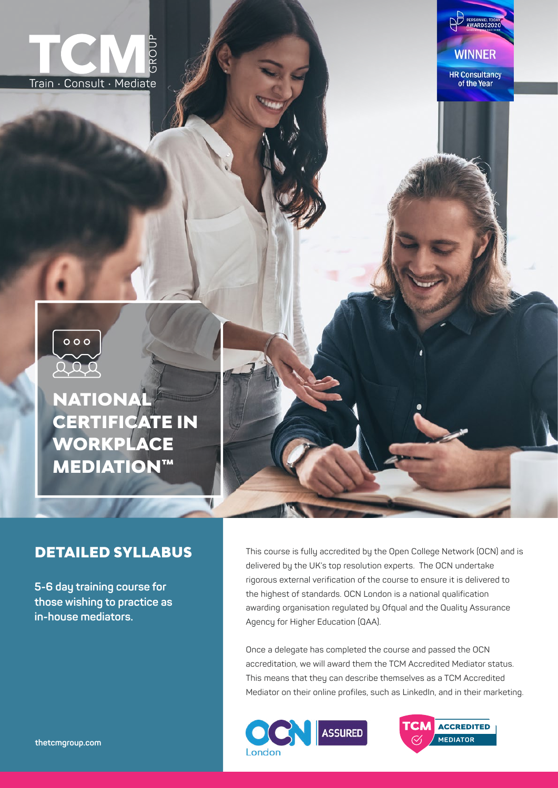





# NATIONAL CERTIFICATE IN WORKPLACE **MEDIATION™**

V

## DETAILED SYLLABUS

**5-6 day training course for those wishing to practice as in-house mediators.**

This course is fully accredited by the Open College Network (OCN) and is delivered by the UK's top resolution experts. The OCN undertake rigorous external verification of the course to ensure it is delivered to the highest of standards. OCN London is a national qualification awarding organisation regulated by Ofqual and the Quality Assurance Agency for Higher Education (QAA).

Once a delegate has completed the course and passed the OCN accreditation, we will award them the TCM Accredited Mediator status. This means that they can describe themselves as a TCM Accredited Mediator on their online profiles, such as LinkedIn, and in their marketing.



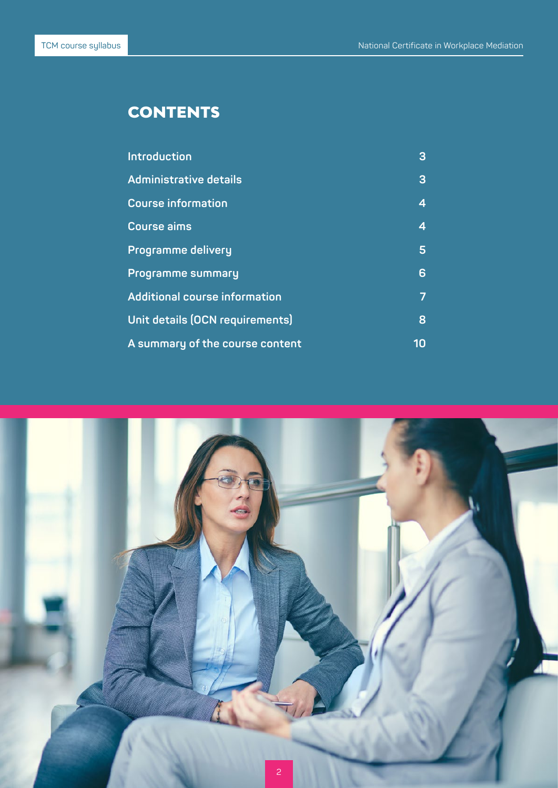# **CONTENTS**

| Introduction                         | 3  |
|--------------------------------------|----|
| <b>Administrative details</b>        | 3  |
| <b>Course information</b>            | 4  |
| <b>Course aims</b>                   | 4  |
| <b>Programme delivery</b>            | 5  |
| <b>Programme summary</b>             | 6  |
| <b>Additional course information</b> | 7  |
| Unit details (OCN requirements)      | 8  |
| A summary of the course content      | 10 |

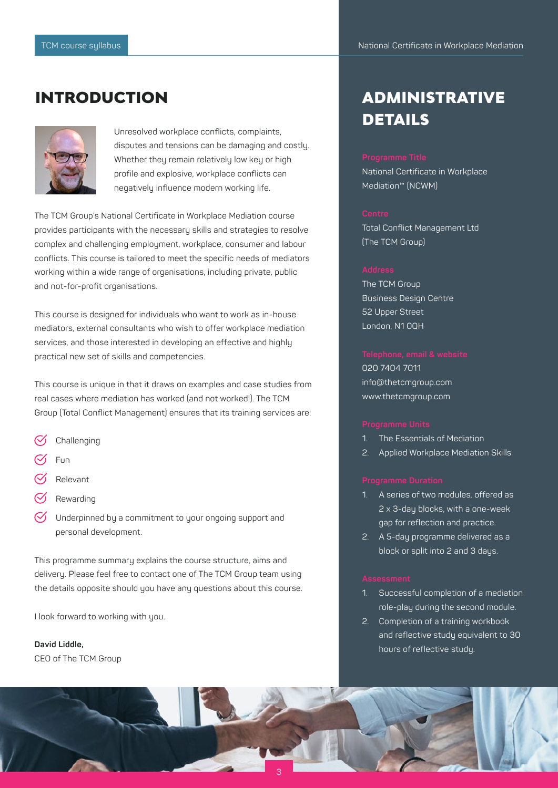## INTRODUCTION



Unresolved workplace conflicts, complaints, disputes and tensions can be damaging and costly. Whether they remain relatively low key or high profile and explosive, workplace conflicts can negatively influence modern working life.

The TCM Group's National Certificate in Workplace Mediation course provides participants with the necessary skills and strategies to resolve complex and challenging employment, workplace, consumer and labour conflicts. This course is tailored to meet the specific needs of mediators working within a wide range of organisations, including private, public and not-for-profit organisations.

This course is designed for individuals who want to work as in-house mediators, external consultants who wish to offer workplace mediation services, and those interested in developing an effective and highly practical new set of skills and competencies.

This course is unique in that it draws on examples and case studies from real cases where mediation has worked (and not worked!). The TCM Group (Total Conflict Management) ensures that its training services are:

- **Challenging**
- Fun
- Relevant
- Rewarding
- Underpinned by a commitment to your ongoing support and personal development.

This programme summary explains the course structure, aims and delivery. Please feel free to contact one of The TCM Group team using the details opposite should you have any questions about this course.

I look forward to working with you.

**David Liddle,**  CEO of The TCM Group

# ADMINISTRATIVE DETAILS

National Certificate in Workplace Mediation™ (NCWM)

Total Conflict Management Ltd (The TCM Group)

The TCM Group Business Design Centre 52 Upper Street London, N1 0QH

020 7404 7011 info@thetcmgroup.com www.thetcmgroup.com

- 1. The Essentials of Mediation
- 2. Applied Workplace Mediation Skills

- 1. A series of two modules, offered as 2 x 3-day blocks, with a one-week gap for reflection and practice.
- 2. A 5-day programme delivered as a block or split into 2 and 3 days.

- 1. Successful completion of a mediation role-play during the second module.
- 2. Completion of a training workbook and reflective study equivalent to 30 hours of reflective study.

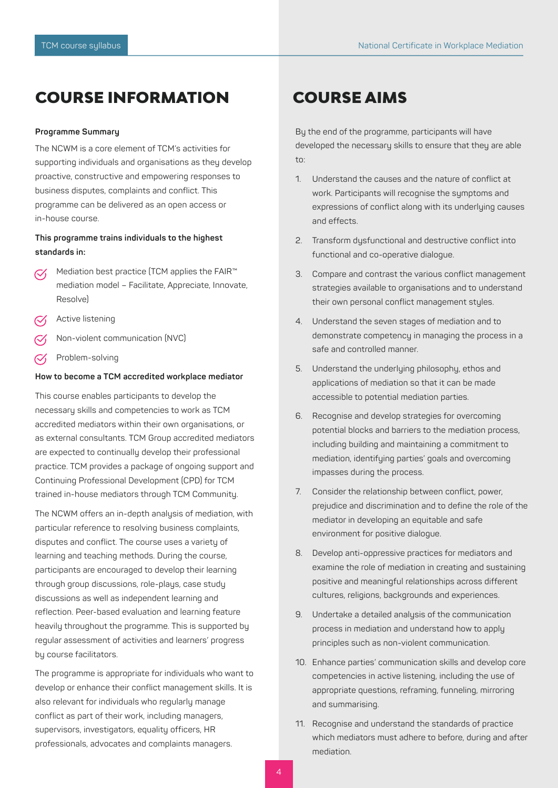## COURSE INFORMATION

### **Programme Summary**

The NCWM is a core element of TCM's activities for supporting individuals and organisations as they develop proactive, constructive and empowering responses to business disputes, complaints and conflict. This programme can be delivered as an open access or in-house course.

### **This programme trains individuals to the highest standards in:**

- Mediation best practice (TCM applies the FAIR™  $\mathcal{C}'$ mediation model – Facilitate, Appreciate, Innovate, Resolve)
- Active listening
- Non-violent communication (NVC)
- Problem-solving  $\mathcal{C}$

### **How to become a TCM accredited workplace mediator**

This course enables participants to develop the necessary skills and competencies to work as TCM accredited mediators within their own organisations, or as external consultants. TCM Group accredited mediators are expected to continually develop their professional practice. TCM provides a package of ongoing support and Continuing Professional Development (CPD) for TCM trained in-house mediators through TCM Community.

The NCWM offers an in-depth analysis of mediation, with particular reference to resolving business complaints, disputes and conflict. The course uses a variety of learning and teaching methods. During the course, participants are encouraged to develop their learning through group discussions, role-plays, case study discussions as well as independent learning and reflection. Peer-based evaluation and learning feature heavily throughout the programme. This is supported by regular assessment of activities and learners' progress by course facilitators.

The programme is appropriate for individuals who want to develop or enhance their conflict management skills. It is also relevant for individuals who regularly manage conflict as part of their work, including managers, supervisors, investigators, equality officers, HR professionals, advocates and complaints managers.

## COURSE AIMS

By the end of the programme, participants will have developed the necessary skills to ensure that they are able to:

- 1. Understand the causes and the nature of conflict at work. Participants will recognise the symptoms and expressions of conflict along with its underlying causes and effects.
- 2. Transform dysfunctional and destructive conflict into functional and co-operative dialogue.
- 3. Compare and contrast the various conflict management strategies available to organisations and to understand their own personal conflict management styles.
- 4. Understand the seven stages of mediation and to demonstrate competency in managing the process in a safe and controlled manner.
- 5. Understand the underlying philosophy, ethos and applications of mediation so that it can be made accessible to potential mediation parties.
- 6. Recognise and develop strategies for overcoming potential blocks and barriers to the mediation process, including building and maintaining a commitment to mediation, identifying parties' goals and overcoming impasses during the process.
- 7. Consider the relationship between conflict, power, prejudice and discrimination and to define the role of the mediator in developing an equitable and safe environment for positive dialogue.
- 8. Develop anti-oppressive practices for mediators and examine the role of mediation in creating and sustaining positive and meaningful relationships across different cultures, religions, backgrounds and experiences.
- 9. Undertake a detailed analysis of the communication process in mediation and understand how to apply principles such as non-violent communication.
- 10. Enhance parties' communication skills and develop core competencies in active listening, including the use of appropriate questions, reframing, funneling, mirroring and summarising.
- 11. Recognise and understand the standards of practice which mediators must adhere to before, during and after mediation.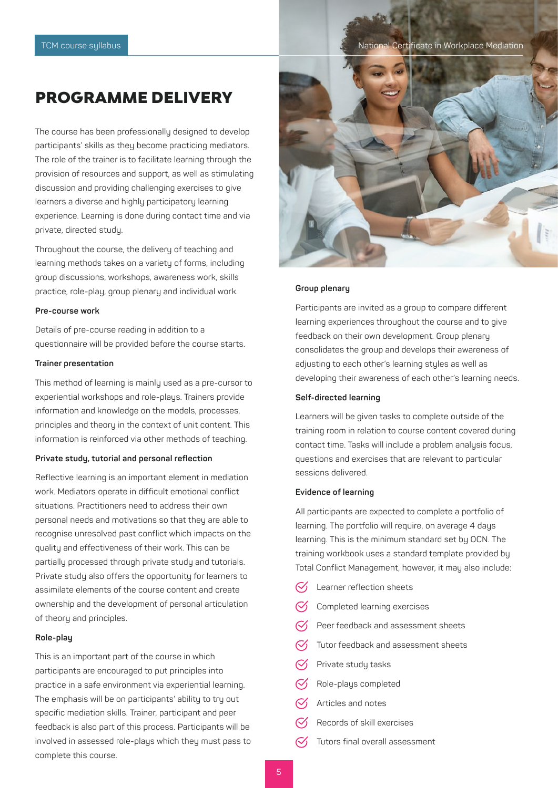### TCM course syllabus National Certificate in Workplace Mediation

## PROGRAMME DELIVERY

The course has been professionally designed to develop participants' skills as they become practicing mediators. The role of the trainer is to facilitate learning through the provision of resources and support, as well as stimulating discussion and providing challenging exercises to give learners a diverse and highly participatory learning experience. Learning is done during contact time and via private, directed study.

Throughout the course, the delivery of teaching and learning methods takes on a variety of forms, including group discussions, workshops, awareness work, skills practice, role-play, group plenary and individual work.

### **Pre-course work**

Details of pre-course reading in addition to a questionnaire will be provided before the course starts.

### **Trainer presentation**

This method of learning is mainly used as a pre-cursor to experiential workshops and role-plays. Trainers provide information and knowledge on the models, processes, principles and theory in the context of unit content. This information is reinforced via other methods of teaching.

### **Private study, tutorial and personal reflection**

Reflective learning is an important element in mediation work. Mediators operate in difficult emotional conflict situations. Practitioners need to address their own personal needs and motivations so that they are able to recognise unresolved past conflict which impacts on the quality and effectiveness of their work. This can be partially processed through private study and tutorials. Private study also offers the opportunity for learners to assimilate elements of the course content and create ownership and the development of personal articulation of theory and principles.

### **Role-play**

This is an important part of the course in which participants are encouraged to put principles into practice in a safe environment via experiential learning. The emphasis will be on participants' ability to try out specific mediation skills. Trainer, participant and peer feedback is also part of this process. Participants will be involved in assessed role-plays which they must pass to complete this course.



### **Group plenary**

Participants are invited as a group to compare different learning experiences throughout the course and to give feedback on their own development. Group plenary consolidates the group and develops their awareness of adjusting to each other's learning styles as well as developing their awareness of each other's learning needs.

### **Self-directed learning**

Learners will be given tasks to complete outside of the training room in relation to course content covered during contact time. Tasks will include a problem analysis focus, questions and exercises that are relevant to particular sessions delivered.

### **Evidence of learning**

All participants are expected to complete a portfolio of learning. The portfolio will require, on average 4 days learning. This is the minimum standard set by OCN. The training workbook uses a standard template provided by Total Conflict Management, however, it may also include:

- Learner reflection sheets
- Completed learning exercises
- Peer feedback and assessment sheets
- Tutor feedback and assessment sheets
- Private study tasks
- Role-plays completed
- Articles and notes
- Records of skill exercises
- Tutors final overall assessment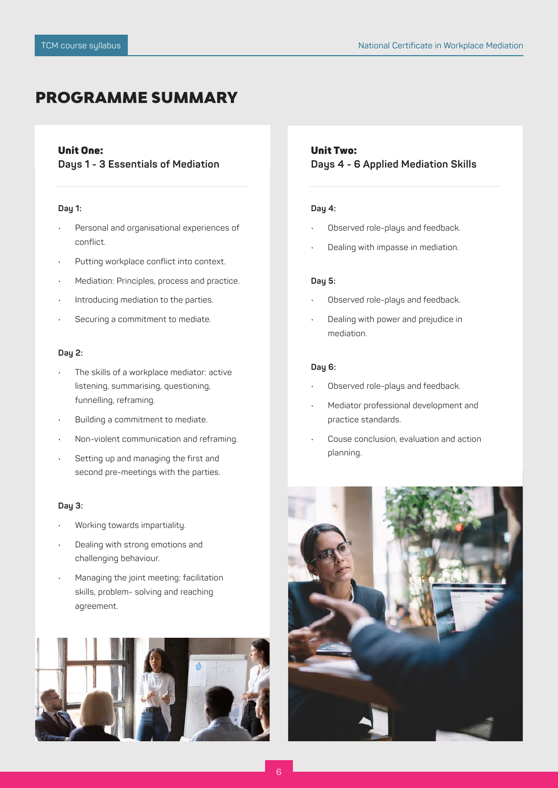## PROGRAMME SUMMARY

### Unit One:

**Days 1 - 3 Essentials of Mediation**

### **Day 1:**

- Personal and organisational experiences of conflict.
- Putting workplace conflict into context.
- Mediation: Principles, process and practice.
- Introducing mediation to the parties.
- Securing a commitment to mediate.

### **Day 2:**

- The skills of a workplace mediator: active listening, summarising, questioning, funnelling, reframing.
- Building a commitment to mediate.
- Non-violent communication and reframing.
- Setting up and managing the first and second pre-meetings with the parties.

### **Day 3:**

- Working towards impartiality.
- Dealing with strong emotions and challenging behaviour.
- Managing the joint meeting: facilitation skills, problem- solving and reaching agreement.



### Unit Two: **Days 4 - 6 Applied Mediation Skills**

### **Day 4:**

- Observed role-plays and feedback.
- Dealing with impasse in mediation.

### **Day 5:**

- Observed role-plays and feedback.
- Dealing with power and prejudice in mediation.

### **Day 6:**

- Observed role-plays and feedback.
- Mediator professional development and practice standards.
- Couse conclusion, evaluation and action planning.

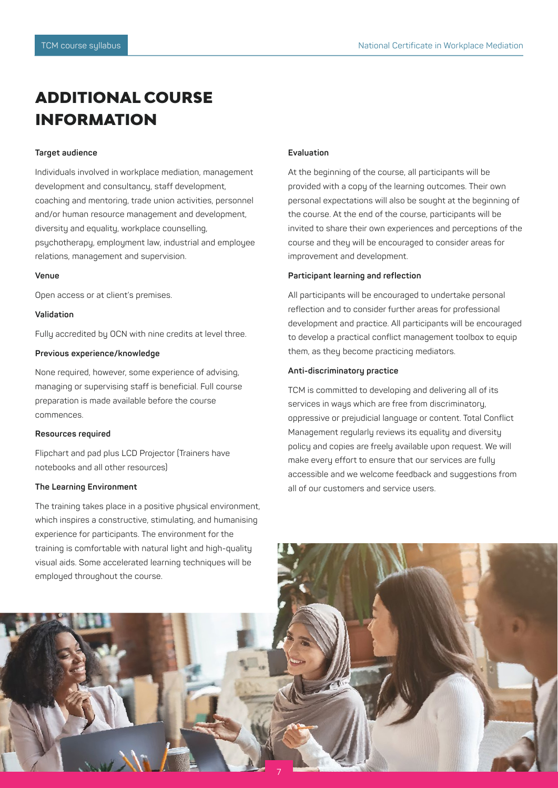# ADDITIONAL COURSE INFORMATION

### **Target audience**

Individuals involved in workplace mediation, management development and consultancy, staff development, coaching and mentoring, trade union activities, personnel and/or human resource management and development, diversity and equality, workplace counselling, psychotherapy, employment law, industrial and employee relations, management and supervision.

### **Venue**

Open access or at client's premises.

### **Validation**

Fully accredited by OCN with nine credits at level three.

### **Previous experience/knowledge**

None required, however, some experience of advising, managing or supervising staff is beneficial. Full course preparation is made available before the course commences.

### **Resources required**

Flipchart and pad plus LCD Projector (Trainers have notebooks and all other resources)

### **The Learning Environment**

The training takes place in a positive physical environment, which inspires a constructive, stimulating, and humanising experience for participants. The environment for the training is comfortable with natural light and high-quality visual aids. Some accelerated learning techniques will be employed throughout the course.

### **Evaluation**

At the beginning of the course, all participants will be provided with a copy of the learning outcomes. Their own personal expectations will also be sought at the beginning of the course. At the end of the course, participants will be invited to share their own experiences and perceptions of the course and they will be encouraged to consider areas for improvement and development.

### **Participant learning and reflection**

All participants will be encouraged to undertake personal reflection and to consider further areas for professional development and practice. All participants will be encouraged to develop a practical conflict management toolbox to equip them, as they become practicing mediators.

### **Anti-discriminatory practice**

TCM is committed to developing and delivering all of its services in ways which are free from discriminatory, oppressive or prejudicial language or content. Total Conflict Management regularly reviews its equality and diversity policy and copies are freely available upon request. We will make every effort to ensure that our services are fully accessible and we welcome feedback and suggestions from all of our customers and service users.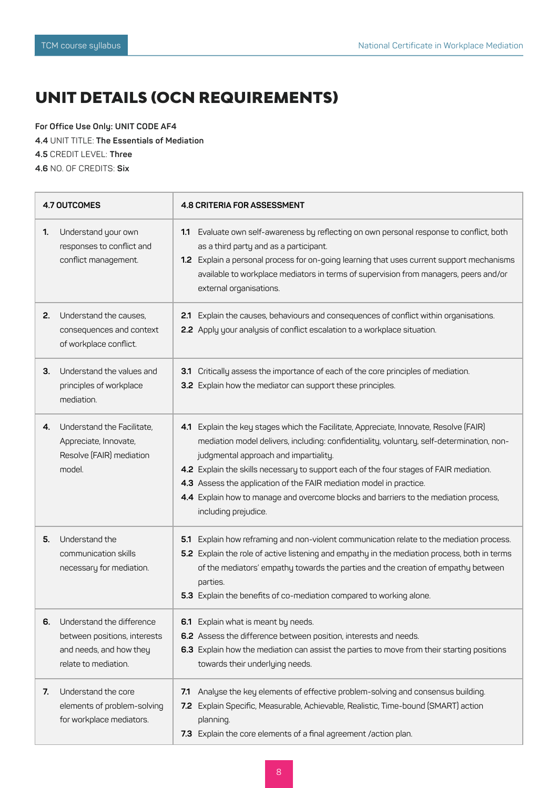# UNIT DETAILS (OCN REQUIREMENTS)

**For Office Use Only: UNIT CODE AF4**

**4.4** UNIT TITLE: **The Essentials of Mediation**

**4.5** CREDIT LEVEL: **Three**

**4.6** NO. OF CREDITS: **Six**

| 4.7 OUTCOMES |                                                                                                              | 4.8 CRITERIA FOR ASSESSMENT                                                                                                                                                                                                                                                                                                                                                                                                                                                                                  |  |  |
|--------------|--------------------------------------------------------------------------------------------------------------|--------------------------------------------------------------------------------------------------------------------------------------------------------------------------------------------------------------------------------------------------------------------------------------------------------------------------------------------------------------------------------------------------------------------------------------------------------------------------------------------------------------|--|--|
| 1.           | Understand your own<br>responses to conflict and<br>conflict management.                                     | 1.1 Evaluate own self-awareness by reflecting on own personal response to conflict, both<br>as a third party and as a participant.<br>1.2 Explain a personal process for on-going learning that uses current support mechanisms<br>available to workplace mediators in terms of supervision from managers, peers and/or<br>external organisations.                                                                                                                                                           |  |  |
| 2.           | Understand the causes,<br>consequences and context<br>of workplace conflict.                                 | Explain the causes, behaviours and consequences of conflict within organisations.<br>2.1<br>2.2 Apply your analysis of conflict escalation to a workplace situation.                                                                                                                                                                                                                                                                                                                                         |  |  |
| З.           | Understand the values and<br>principles of workplace<br>mediation.                                           | 3.1 Critically assess the importance of each of the core principles of mediation.<br>3.2 Explain how the mediator can support these principles.                                                                                                                                                                                                                                                                                                                                                              |  |  |
| 4.           | Understand the Facilitate,<br>Appreciate, Innovate,<br>Resolve (FAIR) mediation<br>model.                    | 4.1 Explain the key stages which the Facilitate, Appreciate, Innovate, Resolve (FAIR)<br>mediation model delivers, including: confidentiality, voluntary, self-determination, non-<br>judgmental approach and impartiality.<br>4.2 Explain the skills necessary to support each of the four stages of FAIR mediation.<br>4.3 Assess the application of the FAIR mediation model in practice.<br>4.4 Explain how to manage and overcome blocks and barriers to the mediation process,<br>including prejudice. |  |  |
| 5.           | Understand the<br>communication skills<br>necessary for mediation.                                           | Explain how reframing and non-violent communication relate to the mediation process.<br>5.1<br>5.2 Explain the role of active listening and empathy in the mediation process, both in terms<br>of the mediators' empathy towards the parties and the creation of empathy between<br>parties.<br>5.3 Explain the benefits of co-mediation compared to working alone.                                                                                                                                          |  |  |
| 6.           | Understand the difference<br>between positions, interests<br>and needs, and how they<br>relate to mediation. | 6.1 Explain what is meant by needs.<br>6.2 Assess the difference between position, interests and needs.<br>6.3 Explain how the mediation can assist the parties to move from their starting positions<br>towards their underlying needs.                                                                                                                                                                                                                                                                     |  |  |
| 7.           | Understand the core<br>elements of problem-solving<br>for workplace mediators.                               | Analyse the key elements of effective problem-solving and consensus building.<br>7.1<br>7.2 Explain Specific, Measurable, Achievable, Realistic, Time-bound (SMART) action<br>planning.<br>7.3 Explain the core elements of a final agreement /action plan.                                                                                                                                                                                                                                                  |  |  |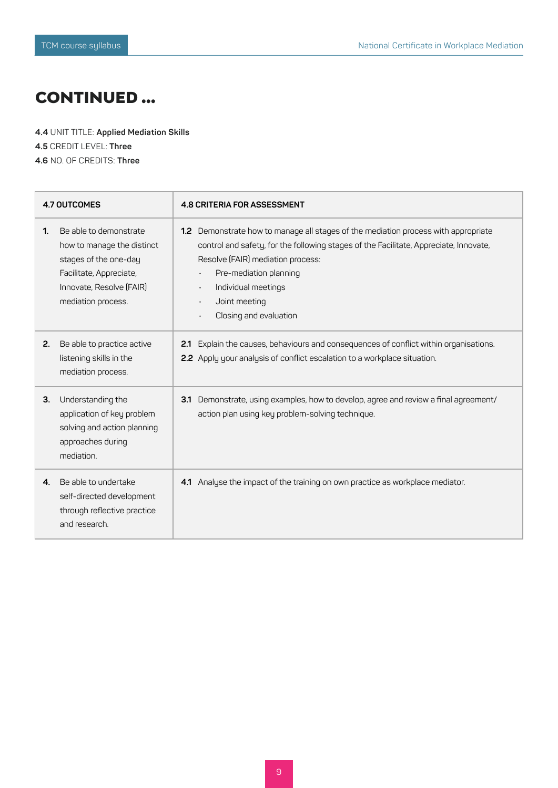## CONTINUED ...

**4.4** UNIT TITLE: **Applied Mediation Skills 4.5** CREDIT LEVEL: **Three 4.6** NO. OF CREDITS: **Three**

| <b>4.7 OUTCOMES</b> |                                                                                                                                                            | <b>4.8 CRITERIA FOR ASSESSMENT</b>                                                                                                                                                                                                                                                                                                                     |  |
|---------------------|------------------------------------------------------------------------------------------------------------------------------------------------------------|--------------------------------------------------------------------------------------------------------------------------------------------------------------------------------------------------------------------------------------------------------------------------------------------------------------------------------------------------------|--|
| 1.                  | Be able to demonstrate<br>how to manage the distinct<br>stages of the one-day<br>Facilitate, Appreciate,<br>Innovate, Resolve (FAIR)<br>mediation process. | Demonstrate how to manage all stages of the mediation process with appropriate<br>1.2 <sub>1</sub><br>control and safety, for the following stages of the Facilitate, Appreciate, Innovate,<br>Resolve (FAIR) mediation process:<br>Pre-mediation planning<br>Individual meetings<br>$\bullet$<br>Joint meeting<br>$\bullet$<br>Closing and evaluation |  |
| 2.                  | Be able to practice active<br>listening skills in the<br>mediation process.                                                                                | Explain the causes, behaviours and consequences of conflict within organisations.<br>2.1<br>2.2 Apply your analysis of conflict escalation to a workplace situation.                                                                                                                                                                                   |  |
| 3.                  | Understanding the<br>application of key problem<br>solving and action planning<br>approaches during<br>mediation.                                          | Demonstrate, using examples, how to develop, agree and review a final agreement/<br>3.1<br>action plan using key problem-solving technique.                                                                                                                                                                                                            |  |
| 4.                  | Be able to undertake<br>self-directed development<br>through reflective practice<br>and research.                                                          | Analyse the impact of the training on own practice as workplace mediator.<br>4.1                                                                                                                                                                                                                                                                       |  |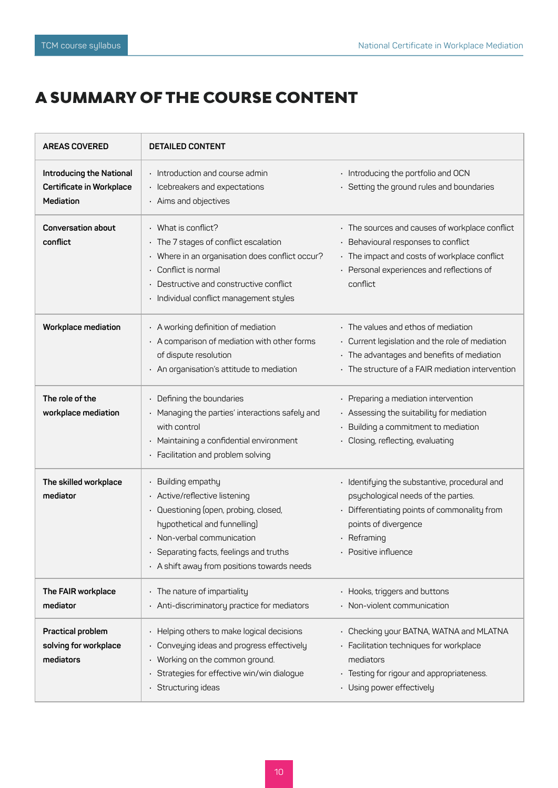# A SUMMARY OF THE COURSE CONTENT

| <b>AREAS COVERED</b>                                                     | <b>DETAILED CONTENT</b>                                                                                                                                                                                                                    |                                                                                                                                                                                                           |
|--------------------------------------------------------------------------|--------------------------------------------------------------------------------------------------------------------------------------------------------------------------------------------------------------------------------------------|-----------------------------------------------------------------------------------------------------------------------------------------------------------------------------------------------------------|
| <b>Introducing the National</b><br>Certificate in Workplace<br>Mediation | $\cdot$ Introduction and course admin<br>Icebreakers and expectations<br>• Aims and objectives                                                                                                                                             | • Introducing the portfolio and OCN<br>· Setting the ground rules and boundaries                                                                                                                          |
| <b>Conversation about</b><br>conflict                                    | What is conflict?<br>The 7 stages of conflict escalation<br>Where in an organisation does conflict occur?<br>Conflict is normal<br>Destructive and constructive conflict<br>Individual conflict management styles                          | • The sources and causes of workplace conflict<br>• Behavioural responses to conflict<br>• The impact and costs of workplace conflict<br>• Personal experiences and reflections of<br>conflict            |
| Workplace mediation                                                      | • A working definition of mediation<br>• A comparison of mediation with other forms<br>of dispute resolution<br>· An organisation's attitude to mediation                                                                                  | • The values and ethos of mediation<br>• Current legislation and the role of mediation<br>• The advantages and benefits of mediation<br>· The structure of a FAIR mediation intervention                  |
| The role of the<br>workplace mediation                                   | Defining the boundaries<br>Managing the parties' interactions safely and<br>with control<br>Maintaining a confidential environment<br>Facilitation and problem solving                                                                     | $\cdot$ Preparing a mediation intervention<br>• Assessing the suitability for mediation<br>Building a commitment to mediation<br>· Closing, reflecting, evaluating                                        |
| The skilled workplace<br>mediator                                        | Building empathy<br>Active/reflective listening<br>Questioning (open, probing, closed,<br>hypothetical and funnelling)<br>Non-verbal communication<br>Separating facts, feelings and truths<br>• A shift away from positions towards needs | • Identifying the substantive, procedural and<br>psychological needs of the parties.<br>• Differentiating points of commonality from<br>points of divergence<br>$\cdot$ Reframing<br>• Positive influence |
| The FAIR workplace<br>mediator                                           | The nature of impartiality<br>Anti-discriminatory practice for mediators                                                                                                                                                                   | • Hooks, triggers and buttons<br>• Non-violent communication                                                                                                                                              |
| Practical problem<br>solving for workplace<br>mediators                  | Helping others to make logical decisions<br>Conveying ideas and progress effectively<br>Working on the common ground.<br>Strategies for effective win/win dialogue<br>Structuring ideas                                                    | • Checking your BATNA, WATNA and MLATNA<br>· Facilitation techniques for workplace<br>mediators<br>· Testing for rigour and appropriateness.<br>· Using power effectively                                 |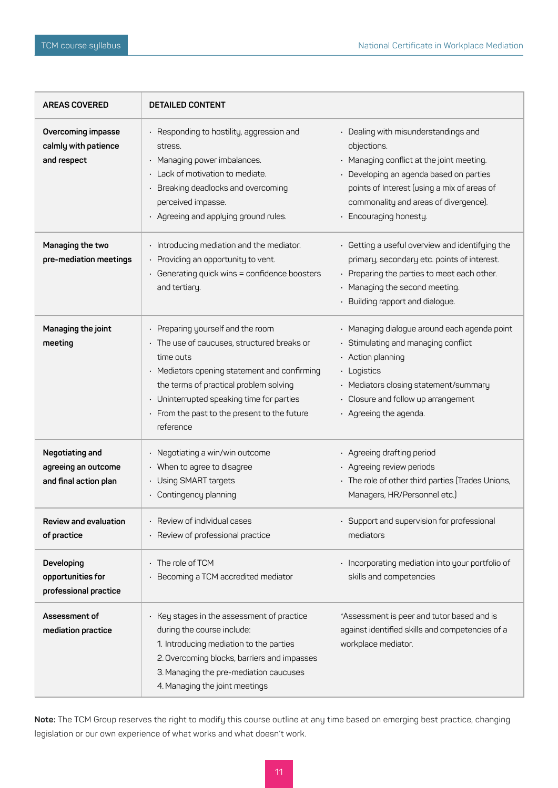| <b>AREAS COVERED</b>                                            | <b>DETAILED CONTENT</b>                                                                                                                                                                                                                                                                               |                                                                                                                                                                                                                                                               |
|-----------------------------------------------------------------|-------------------------------------------------------------------------------------------------------------------------------------------------------------------------------------------------------------------------------------------------------------------------------------------------------|---------------------------------------------------------------------------------------------------------------------------------------------------------------------------------------------------------------------------------------------------------------|
| Overcoming impasse<br>calmly with patience<br>and respect       | • Responding to hostility, aggression and<br>stress.<br>· Managing power imbalances.<br>· Lack of motivation to mediate.<br>Breaking deadlocks and overcoming<br>perceived impasse.<br>· Agreeing and applying ground rules.                                                                          | • Dealing with misunderstandings and<br>objections.<br>• Managing conflict at the joint meeting.<br>• Developing an agenda based on parties<br>points of Interest (using a mix of areas of<br>commonality and areas of divergence).<br>· Encouraging honesty. |
| Managing the two<br>pre-mediation meetings                      | · Introducing mediation and the mediator.<br>Providing an opportunity to vent.<br>$\cdot$ Generating quick wins = confidence boosters<br>and tertiary.                                                                                                                                                | • Getting a useful overview and identifying the<br>primary, secondary etc. points of interest.<br>• Preparing the parties to meet each other.<br>• Managing the second meeting.<br>• Building rapport and dialogue.                                           |
| Managing the joint<br>meeting                                   | • Preparing yourself and the room<br>· The use of caucuses, structured breaks or<br>time outs<br>• Mediators opening statement and confirming<br>the terms of practical problem solving<br>Uninterrupted speaking time for parties<br>$\cdot$ From the past to the present to the future<br>reference | · Managing dialogue around each agenda point<br>· Stimulating and managing conflict<br>$\cdot$ Action planning<br>· Logistics<br>· Mediators closing statement/summary<br>• Closure and follow up arrangement<br>· Agreeing the agenda.                       |
| Negotiating and<br>agreeing an outcome<br>and final action plan | Negotiating a win/win outcome<br>$\bullet$<br>When to agree to disagree<br>Using SMART targets<br>$\bullet$<br>Contingency planning                                                                                                                                                                   | · Agreeing drafting period<br>· Agreeing review periods<br>• The role of other third parties (Trades Unions,<br>Managers, HR/Personnel etc.)                                                                                                                  |
| Review and evaluation<br>of practice                            | Review of individual cases<br>Review of professional practice                                                                                                                                                                                                                                         | • Support and supervision for professional<br>mediators                                                                                                                                                                                                       |
| Developing<br>opportunities for<br>professional practice        | The role of TCM<br>Becoming a TCM accredited mediator                                                                                                                                                                                                                                                 | · Incorporating mediation into your portfolio of<br>skills and competencies                                                                                                                                                                                   |
| Assessment of<br>mediation practice                             | Key stages in the assessment of practice<br>$\ddot{\phantom{0}}$<br>during the course include:<br>1. Introducing mediation to the parties<br>2. Overcoming blocks, barriers and impasses<br>3. Managing the pre-mediation caucuses<br>4. Managing the joint meetings                                  | *Assessment is peer and tutor based and is<br>against identified skills and competencies of a<br>workplace mediator.                                                                                                                                          |

**Note:** The TCM Group reserves the right to modify this course outline at any time based on emerging best practice, changing legislation or our own experience of what works and what doesn't work.